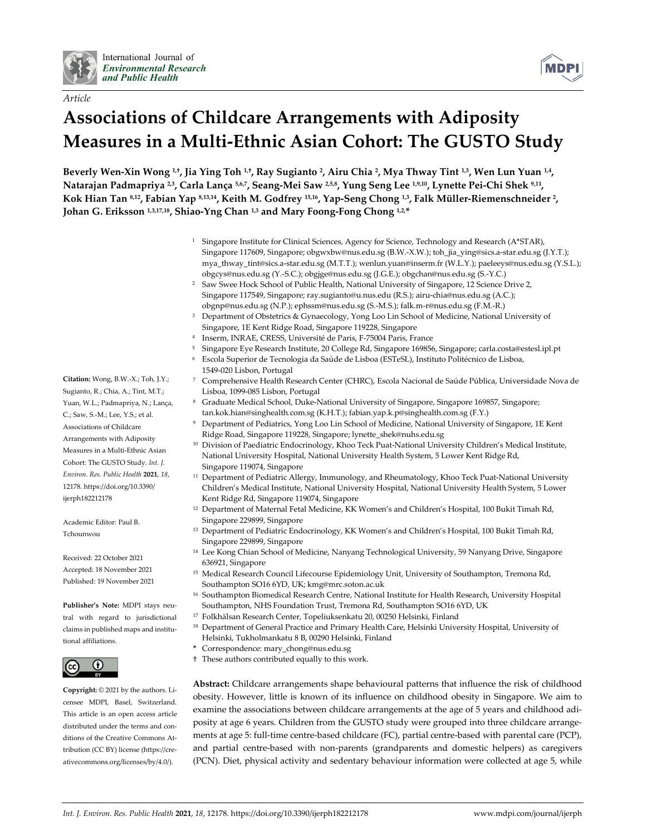

*Article*



# **Associations of Childcare Arrangements with Adiposity Measures in a Multi-Ethnic Asian Cohort: The GUSTO Study**

Beverly Wen-Xin Wong <sup>1,†</sup>, Jia Ying Toh <sup>1,†</sup>, Ray Sugianto <sup>2</sup>, Airu Chia <sup>2</sup>, Mya Thway Tint <sup>1,3</sup>, Wen Lun Yuan <sup>1,4</sup>, Natarajan Padmapriya <sup>2,3</sup>, Carla Lança <sup>5,6,7</sup>, Seang-Mei Saw <sup>2,5,8</sup>, Yung Seng Lee <sup>1,9,10</sup>, Lynette Pei-Chi Shek <sup>9,11</sup>, Kok Hian Tan <sup>8,12</sup>, Fabian Yap <sup>8,13,14</sup>, Keith M. Godfrey <sup>15,16</sup>, Yap-Seng Chong <sup>1,3</sup>, Falk Müller-Riemenschneider <sup>2</sup>, **Johan G. Eriksson 1,3,17,18, Shiao-Yng Chan 1,3 and Mary Foong-Fong Chong 1,2,\***

- <sup>1</sup> Singapore Institute for Clinical Sciences, Agency for Science, Technology and Research (A\*STAR), Singapore 117609, Singapore; obgwxbw@nus.edu.sg (B.W.-X.W.); toh\_jia\_ying@sics.a-star.edu.sg (J.Y.T.); mya\_thway\_tint@sics.a-star.edu.sg (M.T.T.); wenlun.yuan@inserm.fr (W.L.Y.); paeleeys@nus.edu.sg (Y.S.L.); obgcys@nus.edu.sg (Y.-S.C.); obgjge@nus.edu.sg (J.G.E.); obgchan@nus.edu.sg (S.-Y.C.)
- <sup>2</sup> Saw Swee Hock School of Public Health, National University of Singapore, 12 Science Drive 2, Singapore 117549, Singapore; ray.sugianto@u.nus.edu (R.S.); airu-chia@nus.edu.sg (A.C.); obgnp@nus.edu.sg (N.P.); ephssm@nus.edu.sg (S.-M.S.); falk.m-r@nus.edu.sg (F.M.-R.)
- <sup>3</sup> Department of Obstetrics & Gynaecology, Yong Loo Lin School of Medicine, National University of Singapore, 1E Kent Ridge Road, Singapore 119228, Singapore
- <sup>4</sup> Inserm, INRAE, CRESS, Université de Paris, F-75004 Paris, France
- <sup>5</sup> Singapore Eye Research Institute, 20 College Rd, Singapore 169856, Singapore; carla.costa@estesl.ipl.pt
- <sup>6</sup> Escola Superior de Tecnologia da Saúde de Lisboa (ESTeSL), Instituto Politécnico de Lisboa, 1549-020 Lisbon, Portugal
- <sup>7</sup> Comprehensive Health Research Center (CHRC), Escola Nacional de Saúde Pública, Universidade Nova de Lisboa, 1099-085 Lisbon, Portugal
- Graduate Medical School, Duke-National University of Singapore, Singapore 169857, Singapore; tan.kok.hian@singhealth.com.sg (K.H.T.); fabian.yap.k.p@singhealth.com.sg (F.Y.)
- <sup>9</sup> Department of Pediatrics, Yong Loo Lin School of Medicine, National University of Singapore, 1E Kent Ridge Road, Singapore 119228, Singapore; lynette\_shek@nuhs.edu.sg
- <sup>10</sup> Division of Paediatric Endocrinology, Khoo Teck Puat-National University Children's Medical Institute, National University Hospital, National University Health System, 5 Lower Kent Ridge Rd, Singapore 119074, Singapore
- <sup>11</sup> Department of Pediatric Allergy, Immunology, and Rheumatology, Khoo Teck Puat-National University Children's Medical Institute, National University Hospital, National University Health System, 5 Lower Kent Ridge Rd, Singapore 119074, Singapore
- <sup>12</sup> Department of Maternal Fetal Medicine, KK Women's and Children's Hospital, 100 Bukit Timah Rd, Singapore 229899, Singapore
- <sup>13</sup> Department of Pediatric Endocrinology, KK Women's and Children's Hospital, 100 Bukit Timah Rd, Singapore 229899, Singapore
- <sup>14</sup> Lee Kong Chian School of Medicine, Nanyang Technological University, 59 Nanyang Drive, Singapore 636921, Singapore
- <sup>15</sup> Medical Research Council Lifecourse Epidemiology Unit, University of Southampton, Tremona Rd, Southampton SO16 6YD, UK; kmg@mrc.soton.ac.uk
- <sup>16</sup> Southampton Biomedical Research Centre, National Institute for Health Research, University Hospital Southampton, NHS Foundation Trust, Tremona Rd, Southampton SO16 6YD, UK
- <sup>17</sup> Folkhälsan Research Center, Topeliuksenkatu 20, 00250 Helsinki, Finland
- <sup>18</sup> Department of General Practice and Primary Health Care, Helsinki University Hospital, University of Helsinki, Tukholmankatu 8 B, 00290 Helsinki, Finland
- **\*** Correspondence: mary\_chong@nus.edu.sg
- † These authors contributed equally to this work.

**Abstract:** Childcare arrangements shape behavioural patterns that influence the risk of childhood obesity. However, little is known of its influence on childhood obesity in Singapore. We aim to examine the associations between childcare arrangements at the age of 5 years and childhood adiposity at age 6 years. Children from the GUSTO study were grouped into three childcare arrangements at age 5: full-time centre-based childcare (FC), partial centre-based with parental care (PCP), and partial centre-based with non-parents (grandparents and domestic helpers) as caregivers (PCN). Diet, physical activity and sedentary behaviour information were collected at age 5, while

**Citation:** Wong, B.W.-X.; Toh, J.Y.; Sugianto, R.; Chia, A.; Tint, M.T.; Yuan, W.L.; Padmapriya, N.; Lança, C.; Saw, S.-M.; Lee, Y.S.; et al. Associations of Childcare Arrangements with Adiposity Measures in a Multi-Ethnic Asian Cohort: The GUSTO Study. *Int. J. Environ. Res. Public Health* **2021**, *18*, 12178. https://doi.org/10.3390/ ijerph182212178

Academic Editor: Paul B. Tchounwou

Received: 22 October 2021 Accepted: 18 November 2021 Published: 19 November 2021

**Publisher's Note:** MDPI stays neutral with regard to jurisdictional claims in published maps and institutional affiliations.



**Copyright:** © 2021 by the authors. Licensee MDPI, Basel, Switzerland. This article is an open access article distributed under the terms and conditions of the Creative Commons Attribution (CC BY) license (https://creativecommons.org/licenses/by/4.0/).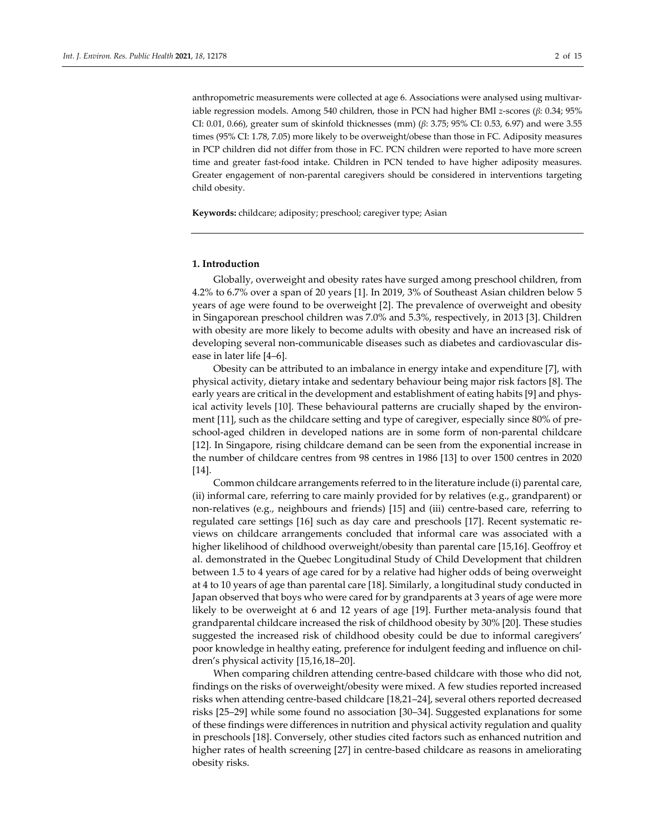anthropometric measurements were collected at age 6. Associations were analysed using multivariable regression models. Among 540 children, those in PCN had higher BMI *z*-scores (*β*: 0.34; 95% CI: 0.01, 0.66), greater sum of skinfold thicknesses (mm) (*β*: 3.75; 95% CI: 0.53, 6.97) and were 3.55 times (95% CI: 1.78, 7.05) more likely to be overweight/obese than those in FC. Adiposity measures in PCP children did not differ from those in FC. PCN children were reported to have more screen time and greater fast-food intake. Children in PCN tended to have higher adiposity measures. Greater engagement of non-parental caregivers should be considered in interventions targeting

**Keywords:** childcare; adiposity; preschool; caregiver type; Asian

## **1. Introduction**

child obesity.

Globally, overweight and obesity rates have surged among preschool children, from 4.2% to 6.7% over a span of 20 years [1]. In 2019, 3% of Southeast Asian children below 5 years of age were found to be overweight [2]. The prevalence of overweight and obesity in Singaporean preschool children was 7.0% and 5.3%, respectively, in 2013 [3]. Children with obesity are more likely to become adults with obesity and have an increased risk of developing several non-communicable diseases such as diabetes and cardiovascular disease in later life [4–6].

Obesity can be attributed to an imbalance in energy intake and expenditure [7], with physical activity, dietary intake and sedentary behaviour being major risk factors [8]. The early years are critical in the development and establishment of eating habits [9] and physical activity levels [10]. These behavioural patterns are crucially shaped by the environment [11], such as the childcare setting and type of caregiver, especially since 80% of preschool-aged children in developed nations are in some form of non-parental childcare [12]. In Singapore, rising childcare demand can be seen from the exponential increase in the number of childcare centres from 98 centres in 1986 [13] to over 1500 centres in 2020 [14].

Common childcare arrangements referred to in the literature include (i) parental care, (ii) informal care, referring to care mainly provided for by relatives (e.g., grandparent) or non-relatives (e.g., neighbours and friends) [15] and (iii) centre-based care, referring to regulated care settings [16] such as day care and preschools [17]. Recent systematic reviews on childcare arrangements concluded that informal care was associated with a higher likelihood of childhood overweight/obesity than parental care [15,16]. Geoffroy et al. demonstrated in the Quebec Longitudinal Study of Child Development that children between 1.5 to 4 years of age cared for by a relative had higher odds of being overweight at 4 to 10 years of age than parental care [18]. Similarly, a longitudinal study conducted in Japan observed that boys who were cared for by grandparents at 3 years of age were more likely to be overweight at 6 and 12 years of age [19]. Further meta-analysis found that grandparental childcare increased the risk of childhood obesity by 30% [20]. These studies suggested the increased risk of childhood obesity could be due to informal caregivers' poor knowledge in healthy eating, preference for indulgent feeding and influence on children's physical activity [15,16,18–20].

When comparing children attending centre-based childcare with those who did not, findings on the risks of overweight/obesity were mixed. A few studies reported increased risks when attending centre-based childcare [18,21–24], several others reported decreased risks [25–29] while some found no association [30–34]. Suggested explanations for some of these findings were differences in nutrition and physical activity regulation and quality in preschools [18]. Conversely, other studies cited factors such as enhanced nutrition and higher rates of health screening [27] in centre-based childcare as reasons in ameliorating obesity risks.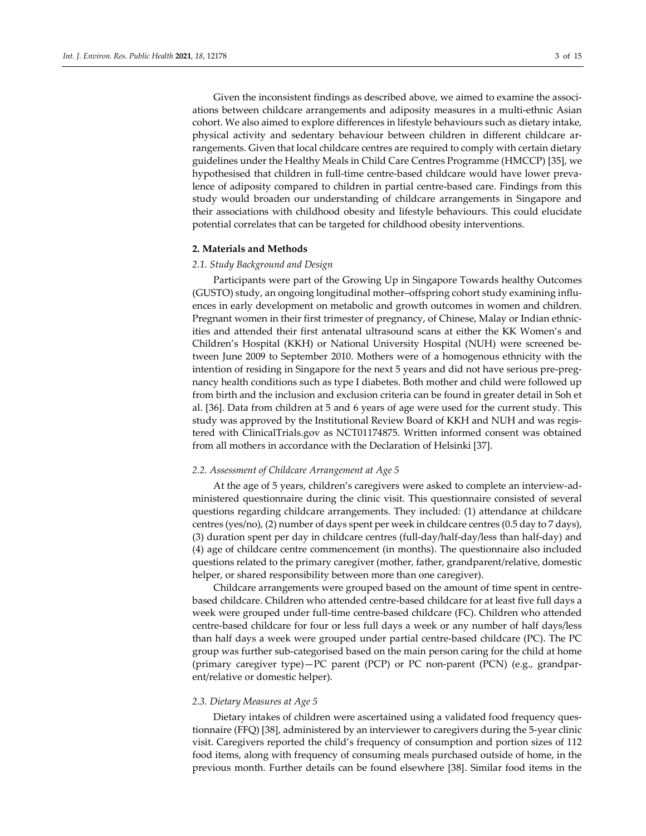Given the inconsistent findings as described above, we aimed to examine the associations between childcare arrangements and adiposity measures in a multi-ethnic Asian cohort. We also aimed to explore differences in lifestyle behaviours such as dietary intake, physical activity and sedentary behaviour between children in different childcare arrangements. Given that local childcare centres are required to comply with certain dietary guidelines under the Healthy Meals in Child Care Centres Programme (HMCCP) [35], we hypothesised that children in full-time centre-based childcare would have lower prevalence of adiposity compared to children in partial centre-based care. Findings from this study would broaden our understanding of childcare arrangements in Singapore and their associations with childhood obesity and lifestyle behaviours. This could elucidate potential correlates that can be targeted for childhood obesity interventions.

## **2. Materials and Methods**

## *2.1. Study Background and Design*

Participants were part of the Growing Up in Singapore Towards healthy Outcomes (GUSTO) study, an ongoing longitudinal mother–offspring cohort study examining influences in early development on metabolic and growth outcomes in women and children. Pregnant women in their first trimester of pregnancy, of Chinese, Malay or Indian ethnicities and attended their first antenatal ultrasound scans at either the KK Women's and Children's Hospital (KKH) or National University Hospital (NUH) were screened between June 2009 to September 2010. Mothers were of a homogenous ethnicity with the intention of residing in Singapore for the next 5 years and did not have serious pre-pregnancy health conditions such as type I diabetes. Both mother and child were followed up from birth and the inclusion and exclusion criteria can be found in greater detail in Soh et al. [36]. Data from children at 5 and 6 years of age were used for the current study. This study was approved by the Institutional Review Board of KKH and NUH and was registered with ClinicalTrials.gov as NCT01174875. Written informed consent was obtained from all mothers in accordance with the Declaration of Helsinki [37].

## *2.2. Assessment of Childcare Arrangement at Age 5*

At the age of 5 years, children's caregivers were asked to complete an interview-administered questionnaire during the clinic visit. This questionnaire consisted of several questions regarding childcare arrangements. They included: (1) attendance at childcare centres (yes/no), (2) number of days spent per week in childcare centres (0.5 day to 7 days), (3) duration spent per day in childcare centres (full-day/half-day/less than half-day) and (4) age of childcare centre commencement (in months). The questionnaire also included questions related to the primary caregiver (mother, father, grandparent/relative, domestic helper, or shared responsibility between more than one caregiver).

Childcare arrangements were grouped based on the amount of time spent in centrebased childcare. Children who attended centre-based childcare for at least five full days a week were grouped under full-time centre-based childcare (FC). Children who attended centre-based childcare for four or less full days a week or any number of half days/less than half days a week were grouped under partial centre-based childcare (PC). The PC group was further sub-categorised based on the main person caring for the child at home (primary caregiver type)—PC parent (PCP) or PC non-parent (PCN) (e.g., grandparent/relative or domestic helper).

## *2.3. Dietary Measures at Age 5*

Dietary intakes of children were ascertained using a validated food frequency questionnaire (FFQ) [38], administered by an interviewer to caregivers during the 5-year clinic visit. Caregivers reported the child's frequency of consumption and portion sizes of 112 food items, along with frequency of consuming meals purchased outside of home, in the previous month. Further details can be found elsewhere [38]. Similar food items in the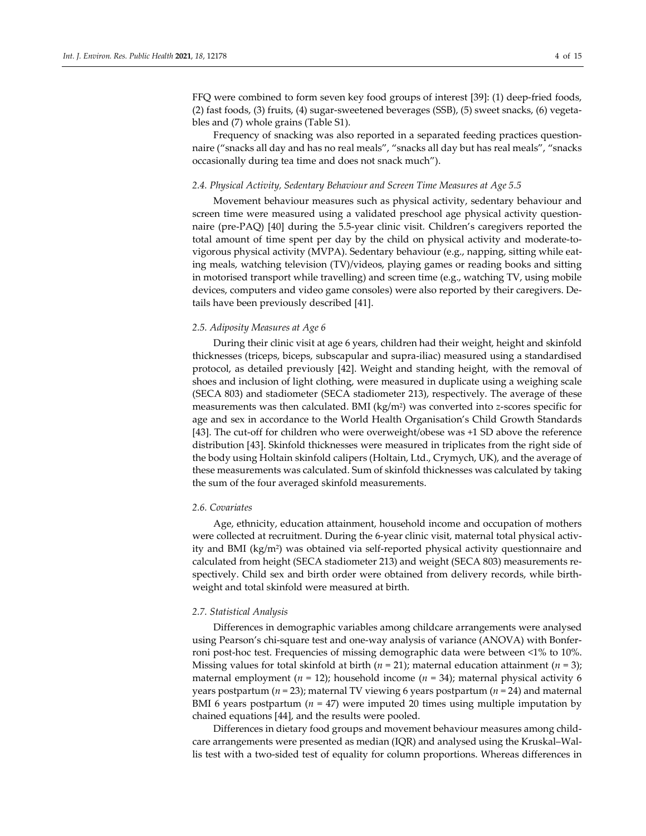FFQ were combined to form seven key food groups of interest [39]: (1) deep-fried foods, (2) fast foods, (3) fruits, (4) sugar-sweetened beverages (SSB), (5) sweet snacks, (6) vegetables and (7) whole grains (Table S1).

Frequency of snacking was also reported in a separated feeding practices questionnaire ("snacks all day and has no real meals", "snacks all day but has real meals", "snacks occasionally during tea time and does not snack much").

## *2.4. Physical Activity, Sedentary Behaviour and Screen Time Measures at Age 5.5*

Movement behaviour measures such as physical activity, sedentary behaviour and screen time were measured using a validated preschool age physical activity questionnaire (pre-PAQ) [40] during the 5.5-year clinic visit. Children's caregivers reported the total amount of time spent per day by the child on physical activity and moderate-tovigorous physical activity (MVPA). Sedentary behaviour (e.g., napping, sitting while eating meals, watching television (TV)/videos, playing games or reading books and sitting in motorised transport while travelling) and screen time (e.g., watching TV, using mobile devices, computers and video game consoles) were also reported by their caregivers. Details have been previously described [41].

## *2.5. Adiposity Measures at Age 6*

During their clinic visit at age 6 years, children had their weight, height and skinfold thicknesses (triceps, biceps, subscapular and supra-iliac) measured using a standardised protocol, as detailed previously [42]. Weight and standing height, with the removal of shoes and inclusion of light clothing, were measured in duplicate using a weighing scale (SECA 803) and stadiometer (SECA stadiometer 213), respectively. The average of these measurements was then calculated. BMI (kg/m2) was converted into *z*-scores specific for age and sex in accordance to the World Health Organisation's Child Growth Standards [43]. The cut-off for children who were overweight/obese was +1 SD above the reference distribution [43]. Skinfold thicknesses were measured in triplicates from the right side of the body using Holtain skinfold calipers (Holtain, Ltd., Crymych, UK), and the average of these measurements was calculated. Sum of skinfold thicknesses was calculated by taking the sum of the four averaged skinfold measurements.

## *2.6. Covariates*

Age, ethnicity, education attainment, household income and occupation of mothers were collected at recruitment. During the 6-year clinic visit, maternal total physical activity and BMI (kg/m2) was obtained via self-reported physical activity questionnaire and calculated from height (SECA stadiometer 213) and weight (SECA 803) measurements respectively. Child sex and birth order were obtained from delivery records, while birthweight and total skinfold were measured at birth.

#### *2.7. Statistical Analysis*

Differences in demographic variables among childcare arrangements were analysed using Pearson's chi-square test and one-way analysis of variance (ANOVA) with Bonferroni post-hoc test. Frequencies of missing demographic data were between <1% to 10%. Missing values for total skinfold at birth (*n* = 21); maternal education attainment (*n* = 3); maternal employment ( $n = 12$ ); household income ( $n = 34$ ); maternal physical activity 6 years postpartum (*n* = 23); maternal TV viewing 6 years postpartum (*n* = 24) and maternal BMI 6 years postpartum (*n* = 47) were imputed 20 times using multiple imputation by chained equations [44], and the results were pooled.

Differences in dietary food groups and movement behaviour measures among childcare arrangements were presented as median (IQR) and analysed using the Kruskal–Wallis test with a two-sided test of equality for column proportions. Whereas differences in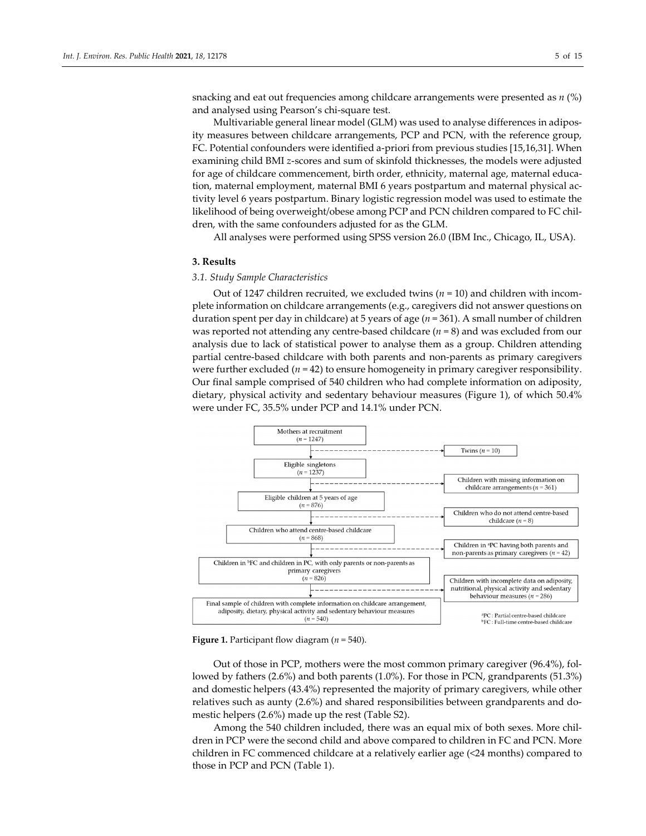snacking and eat out frequencies among childcare arrangements were presented as *n* (%) and analysed using Pearson's chi-square test.

Multivariable general linear model (GLM) was used to analyse differences in adiposity measures between childcare arrangements, PCP and PCN, with the reference group, FC. Potential confounders were identified a-priori from previous studies [15,16,31]. When examining child BMI *z*-scores and sum of skinfold thicknesses, the models were adjusted for age of childcare commencement, birth order, ethnicity, maternal age, maternal education, maternal employment, maternal BMI 6 years postpartum and maternal physical activity level 6 years postpartum. Binary logistic regression model was used to estimate the likelihood of being overweight/obese among PCP and PCN children compared to FC children, with the same confounders adjusted for as the GLM.

All analyses were performed using SPSS version 26.0 (IBM Inc., Chicago, IL, USA).

# **3. Results**

# *3.1. Study Sample Characteristics*

Out of 1247 children recruited, we excluded twins (*n* = 10) and children with incomplete information on childcare arrangements (e.g., caregivers did not answer questions on duration spent per day in childcare) at 5 years of age (*n* = 361). A small number of children was reported not attending any centre-based childcare (*n* = 8) and was excluded from our analysis due to lack of statistical power to analyse them as a group. Children attending partial centre-based childcare with both parents and non-parents as primary caregivers were further excluded (*n* = 42) to ensure homogeneity in primary caregiver responsibility. Our final sample comprised of 540 children who had complete information on adiposity, dietary, physical activity and sedentary behaviour measures (Figure 1), of which 50.4% were under FC, 35.5% under PCP and 14.1% under PCN.



**Figure 1.** Participant flow diagram (*n* = 540).

Out of those in PCP, mothers were the most common primary caregiver (96.4%), followed by fathers (2.6%) and both parents (1.0%). For those in PCN, grandparents (51.3%) and domestic helpers (43.4%) represented the majority of primary caregivers, while other relatives such as aunty (2.6%) and shared responsibilities between grandparents and domestic helpers (2.6%) made up the rest (Table S2).

Among the 540 children included, there was an equal mix of both sexes. More children in PCP were the second child and above compared to children in FC and PCN. More children in FC commenced childcare at a relatively earlier age (<24 months) compared to those in PCP and PCN (Table 1).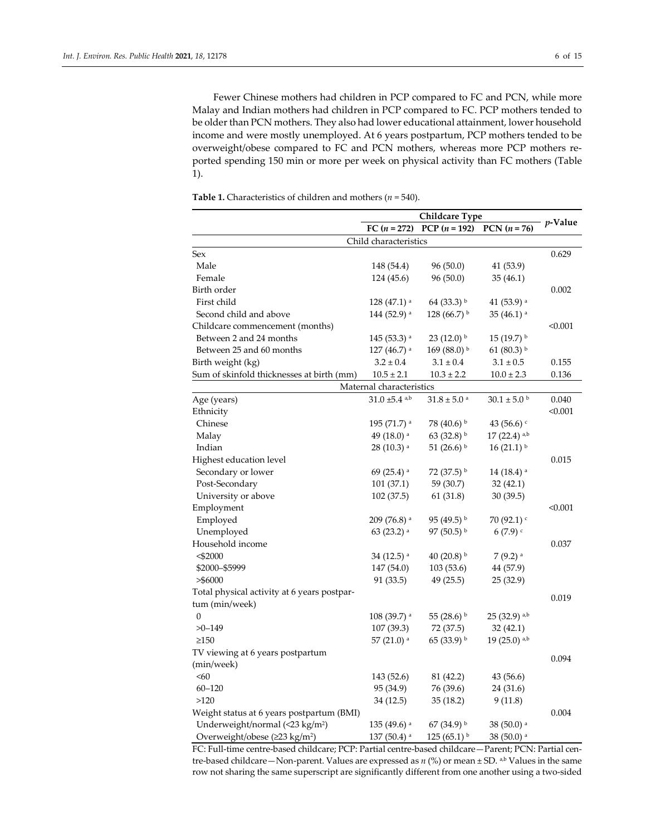Fewer Chinese mothers had children in PCP compared to FC and PCN, while more Malay and Indian mothers had children in PCP compared to FC. PCP mothers tended to be older than PCN mothers. They also had lower educational attainment, lower household income and were mostly unemployed. At 6 years postpartum, PCP mothers tended to be overweight/obese compared to FC and PCN mothers, whereas more PCP mothers reported spending 150 min or more per week on physical activity than FC mothers (Table 1).

|                                             | FC $(n = 272)$                | PCP $(n = 192)$             | $PCN (n = 76)$            | $p$ -Value |  |
|---------------------------------------------|-------------------------------|-----------------------------|---------------------------|------------|--|
|                                             | Child characteristics         |                             |                           |            |  |
| Sex                                         |                               |                             |                           | 0.629      |  |
| Male                                        | 148 (54.4)                    | 96 (50.0)                   | 41 (53.9)                 |            |  |
| Female                                      | 124 (45.6)                    | 96 (50.0)                   | 35(46.1)                  |            |  |
| Birth order                                 |                               |                             |                           | 0.002      |  |
| First child                                 | $128(47.1)$ <sup>a</sup>      | 64 (33.3) b                 | 41 $(53.9)$ <sup>a</sup>  |            |  |
| Second child and above                      | 144 (52.9) <sup>a</sup>       | 128 (66.7) $\frac{b}{c}$    | $35(46.1)$ <sup>a</sup>   |            |  |
| Childcare commencement (months)             |                               |                             |                           | < 0.001    |  |
| Between 2 and 24 months                     | 145 (53.3) <sup>a</sup>       | $23(12.0)$ b                | $15(19.7)^{b}$            |            |  |
| Between 25 and 60 months                    | $127(46.7)$ <sup>a</sup>      | 169 (88.0) b                | 61 (80.3) b               |            |  |
| Birth weight (kg)                           | $3.2 \pm 0.4$                 | $3.1 \pm 0.4$               | $3.1 \pm 0.5$             | 0.155      |  |
| Sum of skinfold thicknesses at birth (mm)   | $10.5 \pm 2.1$                | $10.3 \pm 2.2$              | $10.0 \pm 2.3$            | 0.136      |  |
|                                             | Maternal characteristics      |                             |                           |            |  |
| Age (years)                                 | $31.0 \pm 5.4$ <sup>a,b</sup> | $31.8 \pm 5.0$ <sup>a</sup> | $30.1\pm5.0$ $^{\rm b}$   | 0.040      |  |
| Ethnicity                                   |                               |                             |                           | < 0.001    |  |
| Chinese                                     | $195(71.7)$ <sup>a</sup>      | 78 (40.6) b                 | 43 (56.6) $c$             |            |  |
| Malay                                       | 49 (18.0) <sup>a</sup>        | 63 (32.8) b                 | $17(22.4)$ <sup>a,b</sup> |            |  |
| Indian                                      | $28(10.3)$ <sup>a</sup>       | 51 $(26.6)^{b}$             | $16(21.1)^{b}$            |            |  |
| Highest education level                     |                               |                             |                           | 0.015      |  |
| Secondary or lower                          | 69 (25.4) $^{\rm a}$          | 72 (37.5) b                 | $14(18.4)$ <sup>a</sup>   |            |  |
| Post-Secondary                              | 101(37.1)                     | 59 (30.7)                   | 32(42.1)                  |            |  |
| University or above                         | 102 (37.5)                    | 61 (31.8)                   | 30(39.5)                  |            |  |
| Employment                                  |                               |                             |                           | < 0.001    |  |
| Employed                                    | 209 (76.8) <sup>a</sup>       | 95 (49.5) b                 | 70 $(92.1)$               |            |  |
| Unemployed                                  | 63 (23.2) a                   | 97 (50.5) b                 | 6(7.9)                    |            |  |
| Household income                            |                               |                             |                           | 0.037      |  |
| $<$ \$2000                                  | 34 (12.5) <sup>a</sup>        | 40 (20.8) b                 | $7(9.2)$ a                |            |  |
| \$2000-\$5999                               | 147 (54.0)                    | 103(53.6)                   | 44 (57.9)                 |            |  |
| > \$6000                                    | 91 (33.5)                     | 49 (25.5)                   | 25 (32.9)                 |            |  |
| Total physical activity at 6 years postpar- |                               |                             |                           |            |  |
| tum (min/week)                              |                               |                             |                           | 0.019      |  |
| $\boldsymbol{0}$                            | 108 (39.7) <sup>a</sup>       | 55 (28.6) $\rm{^{b}}$       | 25 (32.9) a,b             |            |  |
| $>0 - 149$                                  | 107 (39.3)                    | 72 (37.5)                   | 32(42.1)                  |            |  |
| $\geq150$                                   | 57 (21.0) <sup>a</sup>        | 65 (33.9) b                 | $19(25.0)$ <sup>a,b</sup> |            |  |
| TV viewing at 6 years postpartum            |                               |                             |                           |            |  |
| (min/week)                                  |                               |                             |                           | 0.094      |  |
| < 60                                        | 143 (52.6)                    | 81 (42.2)                   | 43 (56.6)                 |            |  |
| $60 - 120$                                  | 95 (34.9)                     | 76 (39.6)                   | 24 (31.6)                 |            |  |
| >120                                        | 34 (12.5)                     | 35(18.2)                    | 9(11.8)                   |            |  |
| Weight status at 6 years postpartum (BMI)   |                               |                             |                           | 0.004      |  |
| Underweight/normal (<23 kg/m <sup>2</sup> ) | $135(49.6)$ <sup>a</sup>      | 67 (34.9) b                 | $38(50.0)$ <sup>a</sup>   |            |  |
| Overweight/obese (≥23 kg/m <sup>2</sup> )   | 137 (50.4) <sup>a</sup>       | 125 (65.1) $\frac{b}{c}$    | 38 (50.0) a               |            |  |

**Table 1.** Characteristics of children and mothers (*n* = 540).

FC: Full-time centre-based childcare; PCP: Partial centre-based childcare—Parent; PCN: Partial centre-based childcare—Non-parent. Values are expressed as *n* (%) or mean ± SD. <sup>a,b</sup> Values in the same row not sharing the same superscript are significantly different from one another using a two-sided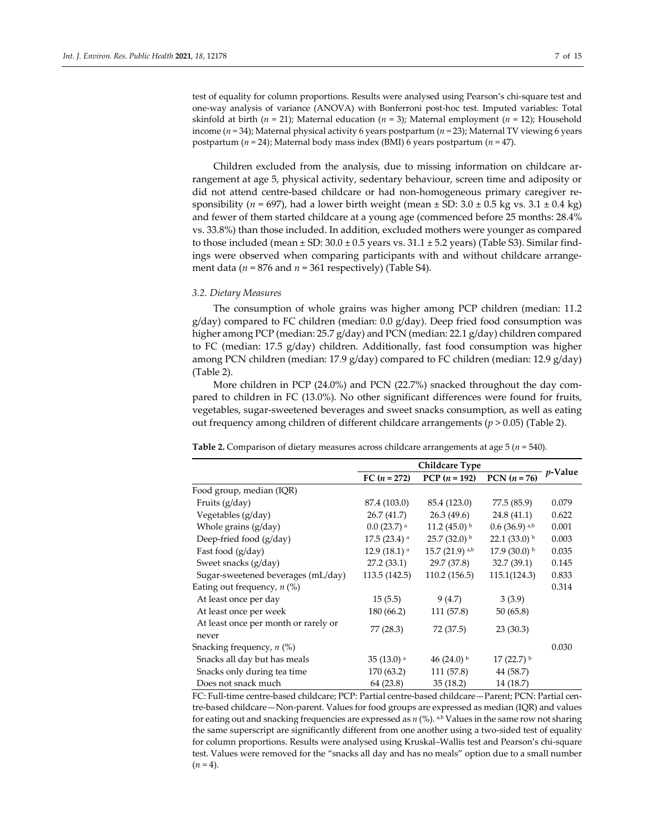test of equality for column proportions. Results were analysed using Pearson's chi-square test and one-way analysis of variance (ANOVA) with Bonferroni post-hoc test. Imputed variables: Total skinfold at birth (*n* = 21); Maternal education (*n* = 3); Maternal employment (*n* = 12); Household income (*n* = 34); Maternal physical activity 6 years postpartum (*n* = 23); Maternal TV viewing 6 years postpartum (*n* = 24); Maternal body mass index (BMI) 6 years postpartum (*n* = 47).

Children excluded from the analysis, due to missing information on childcare arrangement at age 5, physical activity, sedentary behaviour, screen time and adiposity or did not attend centre-based childcare or had non-homogeneous primary caregiver responsibility ( $n = 697$ ), had a lower birth weight (mean  $\pm$  SD:  $3.0 \pm 0.5$  kg vs.  $3.1 \pm 0.4$  kg) and fewer of them started childcare at a young age (commenced before 25 months: 28.4% vs. 33.8%) than those included. In addition, excluded mothers were younger as compared to those included (mean  $\pm$  SD: 30.0  $\pm$  0.5 years vs. 31.1  $\pm$  5.2 years) (Table S3). Similar findings were observed when comparing participants with and without childcare arrangement data ( $n = 876$  and  $n = 361$  respectively) (Table S4).

# *3.2. Dietary Measures*

The consumption of whole grains was higher among PCP children (median: 11.2  $g/day)$  compared to FC children (median: 0.0  $g/day)$ . Deep fried food consumption was higher among PCP (median: 25.7 g/day) and PCN (median: 22.1 g/day) children compared to FC (median: 17.5 g/day) children. Additionally, fast food consumption was higher among PCN children (median: 17.9 g/day) compared to FC children (median: 12.9 g/day) (Table 2).

More children in PCP (24.0%) and PCN (22.7%) snacked throughout the day compared to children in FC (13.0%). No other significant differences were found for fruits, vegetables, sugar-sweetened beverages and sweet snacks consumption, as well as eating out frequency among children of different childcare arrangements ( $p > 0.05$ ) (Table 2).

|                                               | FC $(n = 272)$            | PCP $(n = 192)$          | $PCN (n = 76)$          | $p$ -Value |
|-----------------------------------------------|---------------------------|--------------------------|-------------------------|------------|
| Food group, median (IQR)                      |                           |                          |                         |            |
| Fruits $(g/day)$                              | 87.4 (103.0)              | 85.4 (123.0)             | 77.5 (85.9)             | 0.079      |
| Vegetables (g/day)                            | 26.7 (41.7)               | 26.3 (49.6)              | 24.8(41.1)              | 0.622      |
| Whole grains (g/day)                          | $0.0(23.7)$ <sup>a</sup>  | 11.2 $(45.0)^{b}$        | $0.6$ (36.9) a,b        | 0.001      |
| Deep-fried food (g/day)                       | $17.5(23.4)$ <sup>a</sup> | $25.7(32.0)^{b}$         | 22.1 $(33.0)^{b}$       | 0.003      |
| Fast food (g/day)                             | $12.9(18.1)$ <sup>a</sup> | 15.7 (21.9) a,b          | 17.9 (30.0) $\rm{^{b}}$ | 0.035      |
| Sweet snacks (g/day)                          | 27.2(33.1)                | 29.7 (37.8)              | 32.7(39.1)              | 0.145      |
| Sugar-sweetened beverages (mL/day)            | 113.5 (142.5)             | 110.2 (156.5)            | 115.1(124.3)            | 0.833      |
| Eating out frequency, $n$ (%)                 |                           |                          |                         | 0.314      |
| At least once per day                         | 15(5.5)                   | 9(4.7)                   | 3(3.9)                  |            |
| At least once per week                        | 180 (66.2)                | 111 (57.8)               | 50(65.8)                |            |
| At least once per month or rarely or<br>never | 77 (28.3)                 | 72 (37.5)                | 23(30.3)                |            |
| Snacking frequency, $n$ (%)                   |                           |                          |                         | 0.030      |
| Snacks all day but has meals                  | $35(13.0)$ <sup>a</sup>   | 46 $(24.0)$ <sup>b</sup> | $17(22.7)$ <sup>b</sup> |            |
| Snacks only during tea time                   | 170 (63.2)                | 111 (57.8)               | 44 (58.7)               |            |
| Does not snack much                           | 64 (23.8)                 | 35(18.2)                 | 14 (18.7)               |            |

**Table 2.** Comparison of dietary measures across childcare arrangements at age 5 (*n* = 540).

FC: Full-time centre-based childcare; PCP: Partial centre-based childcare—Parent; PCN: Partial centre-based childcare—Non-parent. Values for food groups are expressed as median (IQR) and values for eating out and snacking frequencies are expressed as  $n$  (%). a,b Values in the same row not sharing the same superscript are significantly different from one another using a two-sided test of equality for column proportions. Results were analysed using Kruskal–Wallis test and Pearson's chi-square test. Values were removed for the "snacks all day and has no meals" option due to a small number  $(n = 4)$ .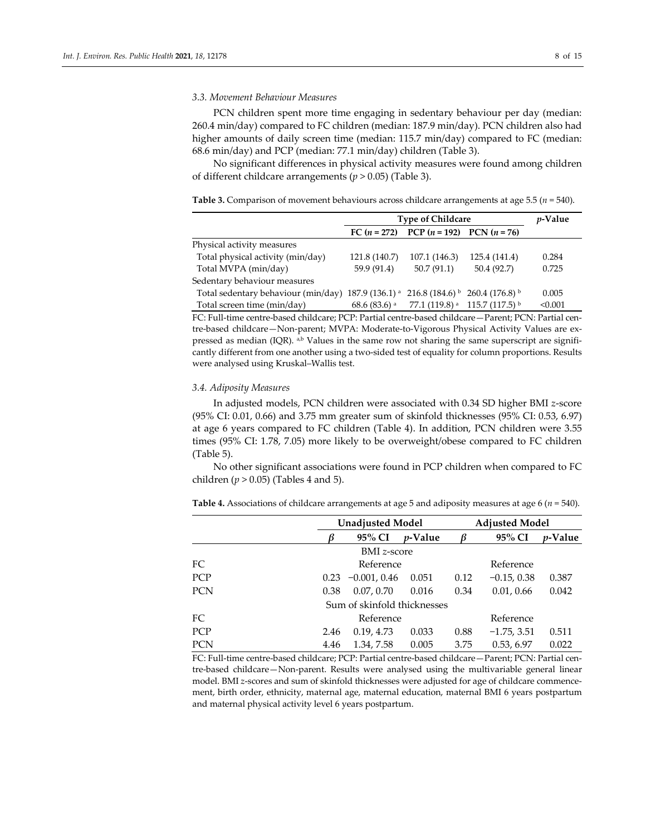# *3.3. Movement Behaviour Measures*

PCN children spent more time engaging in sedentary behaviour per day (median: 260.4 min/day) compared to FC children (median: 187.9 min/day). PCN children also had higher amounts of daily screen time (median: 115.7 min/day) compared to FC (median: 68.6 min/day) and PCP (median: 77.1 min/day) children (Table 3).

No significant differences in physical activity measures were found among children of different childcare arrangements (*p* > 0.05) (Table 3).

**Table 3.** Comparison of movement behaviours across childcare arrangements at age 5.5 (*n* = 540).

|                                                                                                                      | <b>Type of Childcare</b> | <i>v</i> -Value                                                               |               |         |
|----------------------------------------------------------------------------------------------------------------------|--------------------------|-------------------------------------------------------------------------------|---------------|---------|
|                                                                                                                      |                          | FC $(n = 272)$ PCP $(n = 192)$ PCN $(n = 76)$                                 |               |         |
| Physical activity measures                                                                                           |                          |                                                                               |               |         |
| Total physical activity (min/day)                                                                                    | 121.8 (140.7)            | 107.1 (146.3)                                                                 | 125.4 (141.4) | 0.284   |
| Total MVPA (min/day)                                                                                                 | 59.9 (91.4)              | 50.7(91.1)                                                                    | 50.4(92.7)    | 0.725   |
| Sedentary behaviour measures                                                                                         |                          |                                                                               |               |         |
| Total sedentary behaviour (min/day) 187.9 (136.1) <sup>a</sup> 216.8 (184.6) <sup>b</sup> 260.4 (176.8) <sup>b</sup> |                          |                                                                               |               | 0.005   |
| Total screen time (min/day)                                                                                          |                          | 68.6 (83.6) <sup>a</sup> 77.1 (119.8) <sup>a</sup> 115.7 (117.5) <sup>b</sup> |               | < 0.001 |

FC: Full-time centre-based childcare; PCP: Partial centre-based childcare—Parent; PCN: Partial centre-based childcare—Non-parent; MVPA: Moderate-to-Vigorous Physical Activity Values are expressed as median (IQR). a,b Values in the same row not sharing the same superscript are significantly different from one another using a two-sided test of equality for column proportions. Results were analysed using Kruskal–Wallis test.

# *3.4. Adiposity Measures*

In adjusted models, PCN children were associated with 0.34 SD higher BMI *z*-score (95% CI: 0.01, 0.66) and 3.75 mm greater sum of skinfold thicknesses (95% CI: 0.53, 6.97) at age 6 years compared to FC children (Table 4). In addition, PCN children were 3.55 times (95% CI: 1.78, 7.05) more likely to be overweight/obese compared to FC children (Table 5).

No other significant associations were found in PCP children when compared to FC children (*p* > 0.05) (Tables 4 and 5).

|  |  |  |  |  |  |  | <b>Table 4.</b> Associations of childcare arrangements at age 5 and adiposity measures at age 6 ( $n$ = 540). |  |
|--|--|--|--|--|--|--|---------------------------------------------------------------------------------------------------------------|--|
|--|--|--|--|--|--|--|---------------------------------------------------------------------------------------------------------------|--|

|            |      | <b>Unadjusted Model</b>     |                 | <b>Adjusted Model</b> |               |                 |
|------------|------|-----------------------------|-----------------|-----------------------|---------------|-----------------|
|            |      | 95% CI                      | <i>v</i> -Value |                       | 95% CI        | <i>v</i> -Value |
|            |      | <b>BMI</b> z-score          |                 |                       |               |                 |
| FC.        |      | Reference                   |                 |                       | Reference     |                 |
| PCP        | 0.23 | $-0.001, 0.46$              | 0.051           | 0.12                  | $-0.15, 0.38$ | 0.387           |
| <b>PCN</b> | 0.38 | 0.07, 0.70                  | 0.016           | 0.34                  | 0.01, 0.66    | 0.042           |
|            |      | Sum of skinfold thicknesses |                 |                       |               |                 |
| FC.        |      | Reference                   |                 |                       | Reference     |                 |
| PCP        | 2.46 | 0.19, 4.73                  | 0.033           | 0.88                  | $-1.75, 3.51$ | 0.511           |
| <b>PCN</b> | 4.46 | 1.34, 7.58                  | 0.005           | 3.75                  | 0.53, 6.97    | 0.022           |

FC: Full-time centre-based childcare; PCP: Partial centre-based childcare—Parent; PCN: Partial centre-based childcare—Non-parent. Results were analysed using the multivariable general linear model. BMI *z*-scores and sum of skinfold thicknesses were adjusted for age of childcare commencement, birth order, ethnicity, maternal age, maternal education, maternal BMI 6 years postpartum and maternal physical activity level 6 years postpartum.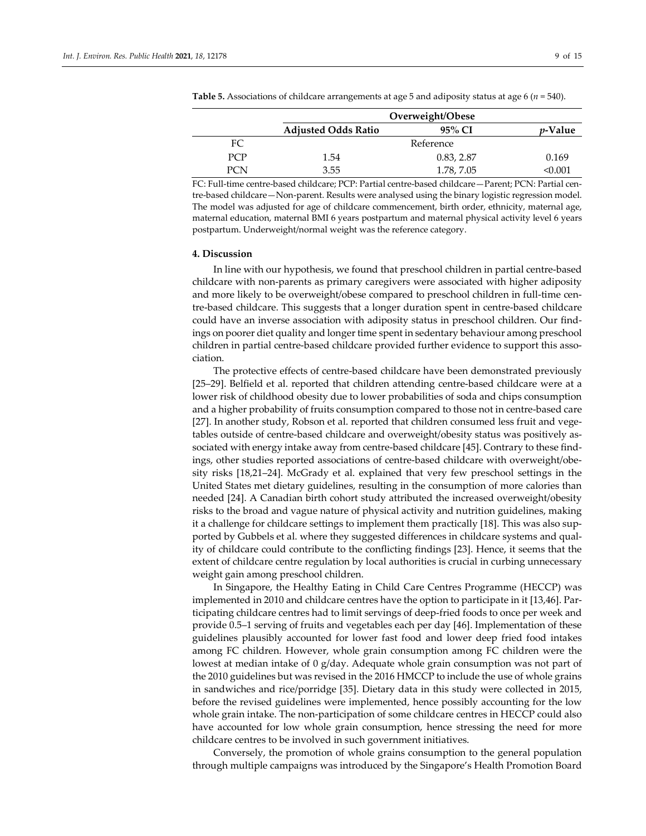|            | Overweight/Obese           |            |                 |  |  |
|------------|----------------------------|------------|-----------------|--|--|
|            | <b>Adjusted Odds Ratio</b> | 95% CI     | <i>v</i> -Value |  |  |
| FC         |                            | Reference  |                 |  |  |
| <b>PCP</b> | 1.54                       | 0.83, 2.87 | 0.169           |  |  |
| PCN        | 3.55                       | 1.78, 7.05 | <0.001          |  |  |

**Table 5.** Associations of childcare arrangements at age 5 and adiposity status at age 6 (*n* = 540).

FC: Full-time centre-based childcare; PCP: Partial centre-based childcare—Parent; PCN: Partial centre-based childcare—Non-parent. Results were analysed using the binary logistic regression model. The model was adjusted for age of childcare commencement, birth order, ethnicity, maternal age, maternal education, maternal BMI 6 years postpartum and maternal physical activity level 6 years postpartum. Underweight/normal weight was the reference category.

## **4. Discussion**

In line with our hypothesis, we found that preschool children in partial centre-based childcare with non-parents as primary caregivers were associated with higher adiposity and more likely to be overweight/obese compared to preschool children in full-time centre-based childcare. This suggests that a longer duration spent in centre-based childcare could have an inverse association with adiposity status in preschool children. Our findings on poorer diet quality and longer time spent in sedentary behaviour among preschool children in partial centre-based childcare provided further evidence to support this association.

The protective effects of centre-based childcare have been demonstrated previously [25–29]. Belfield et al. reported that children attending centre-based childcare were at a lower risk of childhood obesity due to lower probabilities of soda and chips consumption and a higher probability of fruits consumption compared to those not in centre-based care [27]. In another study, Robson et al. reported that children consumed less fruit and vegetables outside of centre-based childcare and overweight/obesity status was positively associated with energy intake away from centre-based childcare [45]. Contrary to these findings, other studies reported associations of centre-based childcare with overweight/obesity risks [18,21–24]. McGrady et al. explained that very few preschool settings in the United States met dietary guidelines, resulting in the consumption of more calories than needed [24]. A Canadian birth cohort study attributed the increased overweight/obesity risks to the broad and vague nature of physical activity and nutrition guidelines, making it a challenge for childcare settings to implement them practically [18]. This was also supported by Gubbels et al. where they suggested differences in childcare systems and quality of childcare could contribute to the conflicting findings [23]. Hence, it seems that the extent of childcare centre regulation by local authorities is crucial in curbing unnecessary weight gain among preschool children.

In Singapore, the Healthy Eating in Child Care Centres Programme (HECCP) was implemented in 2010 and childcare centres have the option to participate in it [13,46]. Participating childcare centres had to limit servings of deep-fried foods to once per week and provide 0.5–1 serving of fruits and vegetables each per day [46]. Implementation of these guidelines plausibly accounted for lower fast food and lower deep fried food intakes among FC children. However, whole grain consumption among FC children were the lowest at median intake of 0 g/day. Adequate whole grain consumption was not part of the 2010 guidelines but was revised in the 2016 HMCCP to include the use of whole grains in sandwiches and rice/porridge [35]. Dietary data in this study were collected in 2015, before the revised guidelines were implemented, hence possibly accounting for the low whole grain intake. The non-participation of some childcare centres in HECCP could also have accounted for low whole grain consumption, hence stressing the need for more childcare centres to be involved in such government initiatives.

Conversely, the promotion of whole grains consumption to the general population through multiple campaigns was introduced by the Singapore's Health Promotion Board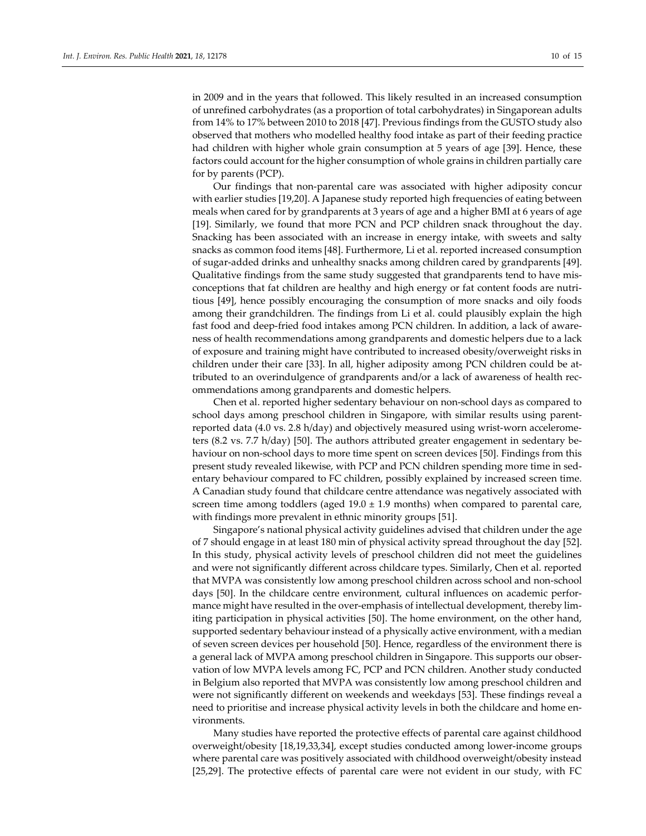in 2009 and in the years that followed. This likely resulted in an increased consumption of unrefined carbohydrates (as a proportion of total carbohydrates) in Singaporean adults from 14% to 17% between 2010 to 2018 [47]. Previous findings from the GUSTO study also observed that mothers who modelled healthy food intake as part of their feeding practice had children with higher whole grain consumption at 5 years of age [39]. Hence, these factors could account for the higher consumption of whole grains in children partially care for by parents (PCP).

Our findings that non-parental care was associated with higher adiposity concur with earlier studies [19,20]. A Japanese study reported high frequencies of eating between meals when cared for by grandparents at 3 years of age and a higher BMI at 6 years of age [19]. Similarly, we found that more PCN and PCP children snack throughout the day. Snacking has been associated with an increase in energy intake, with sweets and salty snacks as common food items [48]. Furthermore, Li et al. reported increased consumption of sugar-added drinks and unhealthy snacks among children cared by grandparents [49]. Qualitative findings from the same study suggested that grandparents tend to have misconceptions that fat children are healthy and high energy or fat content foods are nutritious [49], hence possibly encouraging the consumption of more snacks and oily foods among their grandchildren. The findings from Li et al. could plausibly explain the high fast food and deep-fried food intakes among PCN children. In addition, a lack of awareness of health recommendations among grandparents and domestic helpers due to a lack of exposure and training might have contributed to increased obesity/overweight risks in children under their care [33]. In all, higher adiposity among PCN children could be attributed to an overindulgence of grandparents and/or a lack of awareness of health recommendations among grandparents and domestic helpers.

Chen et al. reported higher sedentary behaviour on non-school days as compared to school days among preschool children in Singapore, with similar results using parentreported data (4.0 vs. 2.8 h/day) and objectively measured using wrist-worn accelerometers (8.2 vs. 7.7 h/day) [50]. The authors attributed greater engagement in sedentary behaviour on non-school days to more time spent on screen devices [50]. Findings from this present study revealed likewise, with PCP and PCN children spending more time in sedentary behaviour compared to FC children, possibly explained by increased screen time. A Canadian study found that childcare centre attendance was negatively associated with screen time among toddlers (aged  $19.0 \pm 1.9$  months) when compared to parental care, with findings more prevalent in ethnic minority groups [51].

Singapore's national physical activity guidelines advised that children under the age of 7 should engage in at least 180 min of physical activity spread throughout the day [52]. In this study, physical activity levels of preschool children did not meet the guidelines and were not significantly different across childcare types. Similarly, Chen et al. reported that MVPA was consistently low among preschool children across school and non-school days [50]. In the childcare centre environment, cultural influences on academic performance might have resulted in the over-emphasis of intellectual development, thereby limiting participation in physical activities [50]. The home environment, on the other hand, supported sedentary behaviour instead of a physically active environment, with a median of seven screen devices per household [50]. Hence, regardless of the environment there is a general lack of MVPA among preschool children in Singapore. This supports our observation of low MVPA levels among FC, PCP and PCN children. Another study conducted in Belgium also reported that MVPA was consistently low among preschool children and were not significantly different on weekends and weekdays [53]. These findings reveal a need to prioritise and increase physical activity levels in both the childcare and home environments.

Many studies have reported the protective effects of parental care against childhood overweight/obesity [18,19,33,34], except studies conducted among lower-income groups where parental care was positively associated with childhood overweight/obesity instead [25,29]. The protective effects of parental care were not evident in our study, with FC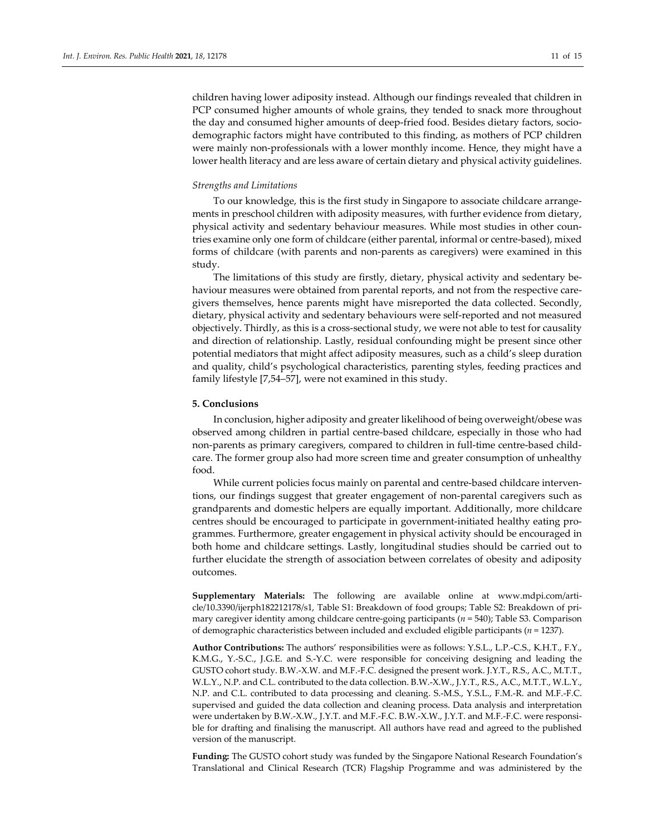children having lower adiposity instead. Although our findings revealed that children in PCP consumed higher amounts of whole grains, they tended to snack more throughout the day and consumed higher amounts of deep-fried food. Besides dietary factors, sociodemographic factors might have contributed to this finding, as mothers of PCP children were mainly non-professionals with a lower monthly income. Hence, they might have a lower health literacy and are less aware of certain dietary and physical activity guidelines.

## *Strengths and Limitations*

To our knowledge, this is the first study in Singapore to associate childcare arrangements in preschool children with adiposity measures, with further evidence from dietary, physical activity and sedentary behaviour measures. While most studies in other countries examine only one form of childcare (either parental, informal or centre-based), mixed forms of childcare (with parents and non-parents as caregivers) were examined in this study.

The limitations of this study are firstly, dietary, physical activity and sedentary behaviour measures were obtained from parental reports, and not from the respective caregivers themselves, hence parents might have misreported the data collected. Secondly, dietary, physical activity and sedentary behaviours were self-reported and not measured objectively. Thirdly, as this is a cross-sectional study, we were not able to test for causality and direction of relationship. Lastly, residual confounding might be present since other potential mediators that might affect adiposity measures, such as a child's sleep duration and quality, child's psychological characteristics, parenting styles, feeding practices and family lifestyle [7,54–57], were not examined in this study.

## **5. Conclusions**

In conclusion, higher adiposity and greater likelihood of being overweight/obese was observed among children in partial centre-based childcare, especially in those who had non-parents as primary caregivers, compared to children in full-time centre-based childcare. The former group also had more screen time and greater consumption of unhealthy food.

While current policies focus mainly on parental and centre-based childcare interventions, our findings suggest that greater engagement of non-parental caregivers such as grandparents and domestic helpers are equally important. Additionally, more childcare centres should be encouraged to participate in government-initiated healthy eating programmes. Furthermore, greater engagement in physical activity should be encouraged in both home and childcare settings. Lastly, longitudinal studies should be carried out to further elucidate the strength of association between correlates of obesity and adiposity outcomes.

**Supplementary Materials:** The following are available online at www.mdpi.com/article/10.3390/ijerph182212178/s1, Table S1: Breakdown of food groups; Table S2: Breakdown of primary caregiver identity among childcare centre-going participants (*n* = 540); Table S3. Comparison of demographic characteristics between included and excluded eligible participants (*n* = 1237).

**Author Contributions:** The authors' responsibilities were as follows: Y.S.L., L.P.-C.S., K.H.T., F.Y., K.M.G., Y.-S.C., J.G.E. and S.-Y.C. were responsible for conceiving designing and leading the GUSTO cohort study. B.W.-X.W. and M.F.-F.C. designed the present work. J.Y.T., R.S., A.C., M.T.T., W.L.Y., N.P. and C.L. contributed to the data collection. B.W.-X.W., J.Y.T., R.S., A.C., M.T.T., W.L.Y., N.P. and C.L. contributed to data processing and cleaning. S.-M.S., Y.S.L., F.M.-R. and M.F.-F.C. supervised and guided the data collection and cleaning process. Data analysis and interpretation were undertaken by B.W.-X.W., J.Y.T. and M.F.-F.C. B.W.-X.W., J.Y.T. and M.F.-F.C. were responsible for drafting and finalising the manuscript. All authors have read and agreed to the published version of the manuscript.

**Funding:** The GUSTO cohort study was funded by the Singapore National Research Foundation's Translational and Clinical Research (TCR) Flagship Programme and was administered by the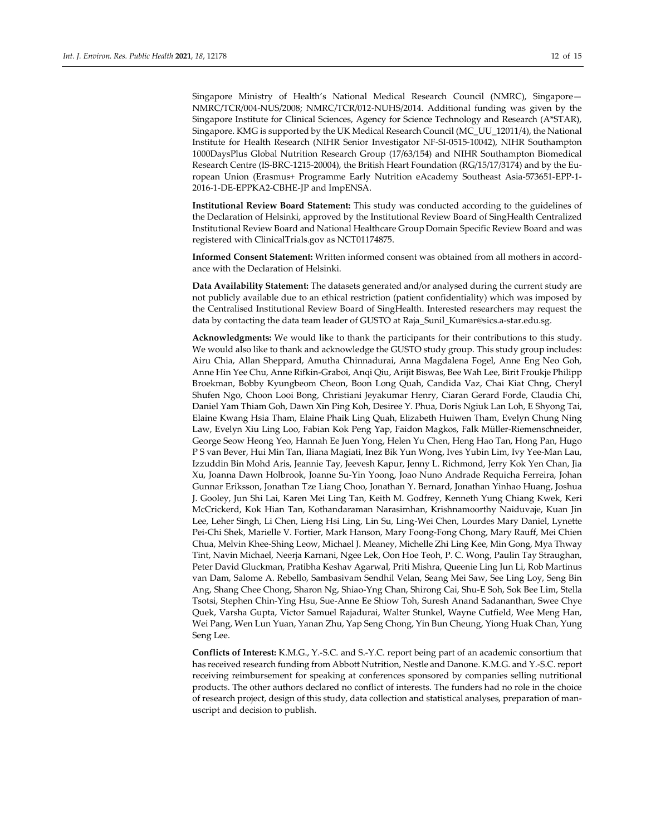Singapore Ministry of Health's National Medical Research Council (NMRC), Singapore— NMRC/TCR/004-NUS/2008; NMRC/TCR/012-NUHS/2014. Additional funding was given by the Singapore Institute for Clinical Sciences, Agency for Science Technology and Research (A\*STAR), Singapore. KMG is supported by the UK Medical Research Council (MC\_UU\_12011/4), the National Institute for Health Research (NIHR Senior Investigator NF-SI-0515-10042), NIHR Southampton 1000DaysPlus Global Nutrition Research Group (17/63/154) and NIHR Southampton Biomedical Research Centre (IS-BRC-1215-20004), the British Heart Foundation (RG/15/17/3174) and by the European Union (Erasmus+ Programme Early Nutrition eAcademy Southeast Asia-573651-EPP-1- 2016-1-DE-EPPKA2-CBHE-JP and ImpENSA.

**Institutional Review Board Statement:** This study was conducted according to the guidelines of the Declaration of Helsinki, approved by the Institutional Review Board of SingHealth Centralized Institutional Review Board and National Healthcare Group Domain Specific Review Board and was registered with ClinicalTrials.gov as NCT01174875.

**Informed Consent Statement:** Written informed consent was obtained from all mothers in accordance with the Declaration of Helsinki.

**Data Availability Statement:** The datasets generated and/or analysed during the current study are not publicly available due to an ethical restriction (patient confidentiality) which was imposed by the Centralised Institutional Review Board of SingHealth. Interested researchers may request the data by contacting the data team leader of GUSTO at Raja\_Sunil\_Kumar@sics.a-star.edu.sg.

**Acknowledgments:** We would like to thank the participants for their contributions to this study. We would also like to thank and acknowledge the GUSTO study group. This study group includes: Airu Chia, Allan Sheppard, Amutha Chinnadurai, Anna Magdalena Fogel, Anne Eng Neo Goh, Anne Hin Yee Chu, Anne Rifkin-Graboi, Anqi Qiu, Arijit Biswas, Bee Wah Lee, Birit Froukje Philipp Broekman, Bobby Kyungbeom Cheon, Boon Long Quah, Candida Vaz, Chai Kiat Chng, Cheryl Shufen Ngo, Choon Looi Bong, Christiani Jeyakumar Henry, Ciaran Gerard Forde, Claudia Chi, Daniel Yam Thiam Goh, Dawn Xin Ping Koh, Desiree Y. Phua, Doris Ngiuk Lan Loh, E Shyong Tai, Elaine Kwang Hsia Tham, Elaine Phaik Ling Quah, Elizabeth Huiwen Tham, Evelyn Chung Ning Law, Evelyn Xiu Ling Loo, Fabian Kok Peng Yap, Faidon Magkos, Falk Müller-Riemenschneider, George Seow Heong Yeo, Hannah Ee Juen Yong, Helen Yu Chen, Heng Hao Tan, Hong Pan, Hugo P S van Bever, Hui Min Tan, Iliana Magiati, Inez Bik Yun Wong, Ives Yubin Lim, Ivy Yee-Man Lau, Izzuddin Bin Mohd Aris, Jeannie Tay, Jeevesh Kapur, Jenny L. Richmond, Jerry Kok Yen Chan, Jia Xu, Joanna Dawn Holbrook, Joanne Su-Yin Yoong, Joao Nuno Andrade Requicha Ferreira, Johan Gunnar Eriksson, Jonathan Tze Liang Choo, Jonathan Y. Bernard, Jonathan Yinhao Huang, Joshua J. Gooley, Jun Shi Lai, Karen Mei Ling Tan, Keith M. Godfrey, Kenneth Yung Chiang Kwek, Keri McCrickerd, Kok Hian Tan, Kothandaraman Narasimhan, Krishnamoorthy Naiduvaje, Kuan Jin Lee, Leher Singh, Li Chen, Lieng Hsi Ling, Lin Su, Ling-Wei Chen, Lourdes Mary Daniel, Lynette Pei-Chi Shek, Marielle V. Fortier, Mark Hanson, Mary Foong-Fong Chong, Mary Rauff, Mei Chien Chua, Melvin Khee-Shing Leow, Michael J. Meaney, Michelle Zhi Ling Kee, Min Gong, Mya Thway Tint, Navin Michael, Neerja Karnani, Ngee Lek, Oon Hoe Teoh, P. C. Wong, Paulin Tay Straughan, Peter David Gluckman, Pratibha Keshav Agarwal, Priti Mishra, Queenie Ling Jun Li, Rob Martinus van Dam, Salome A. Rebello, Sambasivam Sendhil Velan, Seang Mei Saw, See Ling Loy, Seng Bin Ang, Shang Chee Chong, Sharon Ng, Shiao-Yng Chan, Shirong Cai, Shu-E Soh, Sok Bee Lim, Stella Tsotsi, Stephen Chin-Ying Hsu, Sue-Anne Ee Shiow Toh, Suresh Anand Sadananthan, Swee Chye Quek, Varsha Gupta, Victor Samuel Rajadurai, Walter Stunkel, Wayne Cutfield, Wee Meng Han, Wei Pang, Wen Lun Yuan, Yanan Zhu, Yap Seng Chong, Yin Bun Cheung, Yiong Huak Chan, Yung Seng Lee.

**Conflicts of Interest:** K.M.G., Y.-S.C. and S.-Y.C. report being part of an academic consortium that has received research funding from Abbott Nutrition, Nestle and Danone. K.M.G. and Y.-S.C. report receiving reimbursement for speaking at conferences sponsored by companies selling nutritional products. The other authors declared no conflict of interests. The funders had no role in the choice of research project, design of this study, data collection and statistical analyses, preparation of manuscript and decision to publish.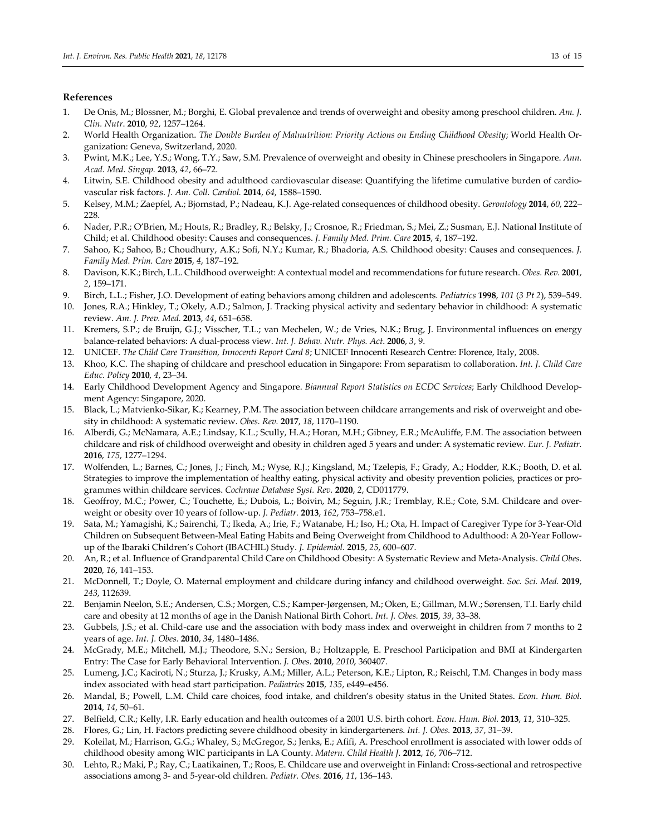# **References**

- 1. De Onis, M.; Blossner, M.; Borghi, E. Global prevalence and trends of overweight and obesity among preschool children. *Am. J. Clin. Nutr*. **2010**, *92*, 1257–1264.
- 2. World Health Organization. *The Double Burden of Malnutrition: Priority Actions on Ending Childhood Obesity*; World Health Organization: Geneva, Switzerland, 2020.
- 3. Pwint, M.K.; Lee, Y.S.; Wong, T.Y.; Saw, S.M. Prevalence of overweight and obesity in Chinese preschoolers in Singapore. *Ann. Acad. Med. Singap.* **2013**, *42*, 66–72.
- 4. Litwin, S.E. Childhood obesity and adulthood cardiovascular disease: Quantifying the lifetime cumulative burden of cardiovascular risk factors. *J. Am. Coll. Cardiol.* **2014**, *64*, 1588–1590.
- 5. Kelsey, M.M.; Zaepfel, A.; Bjornstad, P.; Nadeau, K.J. Age-related consequences of childhood obesity. *Gerontology* **2014**, *60*, 222– 228.
- 6. Nader, P.R.; O'Brien, M.; Houts, R.; Bradley, R.; Belsky, J.; Crosnoe, R.; Friedman, S.; Mei, Z.; Susman, E.J. National Institute of Child; et al. Childhood obesity: Causes and consequences. *J. Family Med. Prim. Care* **2015**, *4*, 187–192.
- 7. Sahoo, K.; Sahoo, B.; Choudhury, A.K.; Sofi, N.Y.; Kumar, R.; Bhadoria, A.S. Childhood obesity: Causes and consequences. *J. Family Med. Prim. Care* **2015**, *4*, 187–192.
- 8. Davison, K.K.; Birch, L.L. Childhood overweight: A contextual model and recommendations for future research. *Obes. Rev.* **2001**, *2*, 159–171.
- 9. Birch, L.L.; Fisher, J.O. Development of eating behaviors among children and adolescents. *Pediatrics* **1998**, *101* (*3 Pt 2*), 539–549.
- 10. Jones, R.A.; Hinkley, T.; Okely, A.D.; Salmon, J. Tracking physical activity and sedentary behavior in childhood: A systematic review. *Am. J. Prev. Med.* **2013**, *44*, 651–658.
- 11. Kremers, S.P.; de Bruijn, G.J.; Visscher, T.L.; van Mechelen, W.; de Vries, N.K.; Brug, J. Environmental influences on energy balance-related behaviors: A dual-process view. *Int. J. Behav. Nutr. Phys. Act*. **2006**, *3*, 9.
- 12. UNICEF. *The Child Care Transition, Innocenti Report Card 8*; UNICEF Innocenti Research Centre: Florence, Italy, 2008.
- 13. Khoo, K.C. The shaping of childcare and preschool education in Singapore: From separatism to collaboration. *Int. J. Child Care Educ. Policy* **2010**, *4*, 23–34.
- 14. Early Childhood Development Agency and Singapore. *Biannual Report Statistics on ECDC Services*; Early Childhood Development Agency: Singapore, 2020.
- 15. Black, L.; Matvienko-Sikar, K.; Kearney, P.M. The association between childcare arrangements and risk of overweight and obesity in childhood: A systematic review. *Obes. Rev.* **2017**, *18*, 1170–1190.
- 16. Alberdi, G.; McNamara, A.E.; Lindsay, K.L.; Scully, H.A.; Horan, M.H.; Gibney, E.R.; McAuliffe, F.M. The association between childcare and risk of childhood overweight and obesity in children aged 5 years and under: A systematic review. *Eur. J. Pediatr.* **2016**, *175*, 1277–1294.
- 17. Wolfenden, L.; Barnes, C.; Jones, J.; Finch, M.; Wyse, R.J.; Kingsland, M.; Tzelepis, F.; Grady, A.; Hodder, R.K.; Booth, D. et al. Strategies to improve the implementation of healthy eating, physical activity and obesity prevention policies, practices or programmes within childcare services. *Cochrane Database Syst. Rev.* **2020**, *2*, CD011779.
- 18. Geoffroy, M.C.; Power, C.; Touchette, E.; Dubois, L.; Boivin, M.; Seguin, J.R.; Tremblay, R.E.; Cote, S.M. Childcare and overweight or obesity over 10 years of follow-up. *J. Pediatr.* **2013**, *162*, 753–758.e1.
- 19. Sata, M.; Yamagishi, K.; Sairenchi, T.; Ikeda, A.; Irie, F.; Watanabe, H.; Iso, H.; Ota, H. Impact of Caregiver Type for 3-Year-Old Children on Subsequent Between-Meal Eating Habits and Being Overweight from Childhood to Adulthood: A 20-Year Followup of the Ibaraki Children's Cohort (IBACHIL) Study. *J. Epidemiol.* **2015**, *25*, 600–607.
- 20. An, R.; et al. Influence of Grandparental Child Care on Childhood Obesity: A Systematic Review and Meta-Analysis. *Child Obes*. **2020**, *16*, 141–153.
- 21. McDonnell, T.; Doyle, O. Maternal employment and childcare during infancy and childhood overweight. *Soc. Sci. Med.* **2019**, *243*, 112639.
- 22. Benjamin Neelon, S.E.; Andersen, C.S.; Morgen, C.S.; Kamper-Jørgensen, M.; Oken, E.; Gillman, M.W.; Sørensen, T.I. Early child care and obesity at 12 months of age in the Danish National Birth Cohort. *Int. J. Obes.* **2015**, *39*, 33–38.
- 23. Gubbels, J.S.; et al. Child-care use and the association with body mass index and overweight in children from 7 months to 2 years of age. *Int. J. Obes.* **2010**, *34*, 1480–1486.
- 24. McGrady, M.E.; Mitchell, M.J.; Theodore, S.N.; Sersion, B.; Holtzapple, E. Preschool Participation and BMI at Kindergarten Entry: The Case for Early Behavioral Intervention. *J. Obes*. **2010**, *2010*, 360407.
- 25. Lumeng, J.C.; Kaciroti, N.; Sturza, J.; Krusky, A.M.; Miller, A.L.; Peterson, K.E.; Lipton, R.; Reischl, T.M. Changes in body mass index associated with head start participation. *Pediatrics* **2015**, *135*, e449–e456.
- 26. Mandal, B.; Powell, L.M. Child care choices, food intake, and children's obesity status in the United States. *Econ. Hum. Biol.* **2014**, *14*, 50–61.
- 27. Belfield, C.R.; Kelly, I.R. Early education and health outcomes of a 2001 U.S. birth cohort. *Econ. Hum. Biol.* **2013**, *11*, 310–325.
- 28. Flores, G.; Lin, H. Factors predicting severe childhood obesity in kindergarteners. *Int. J. Obes.* **2013**, *37*, 31–39.
- 29. Koleilat, M.; Harrison, G.G.; Whaley, S.; McGregor, S.; Jenks, E.; Afifi, A. Preschool enrollment is associated with lower odds of childhood obesity among WIC participants in LA County. *Matern. Child Health J.* **2012**, *16*, 706–712.
- 30. Lehto, R.; Maki, P.; Ray, C.; Laatikainen, T.; Roos, E. Childcare use and overweight in Finland: Cross-sectional and retrospective associations among 3- and 5-year-old children. *Pediatr. Obes.* **2016**, *11*, 136–143.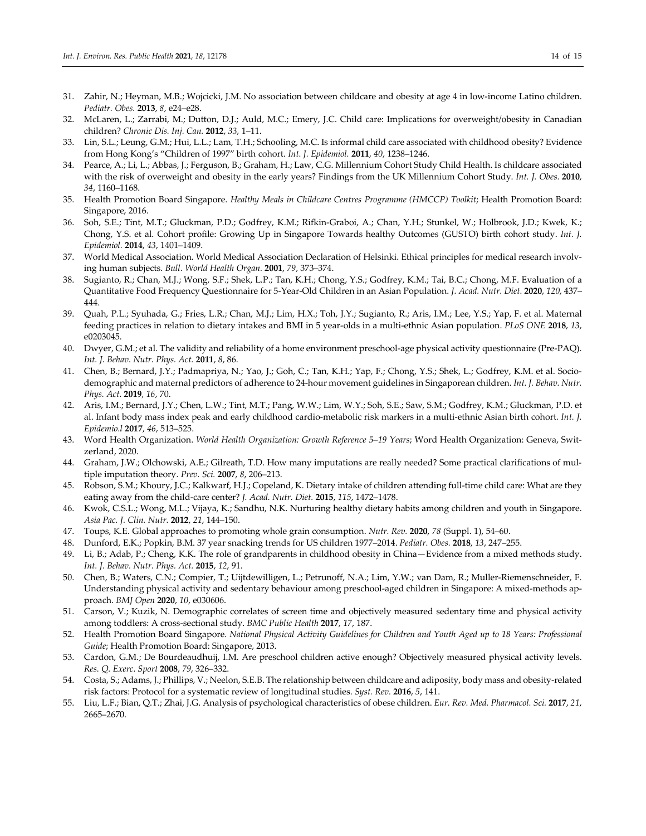- 31. Zahir, N.; Heyman, M.B.; Wojcicki, J.M. No association between childcare and obesity at age 4 in low-income Latino children. *Pediatr. Obes.* **2013**, *8*, e24–e28.
- 32. McLaren, L.; Zarrabi, M.; Dutton, D.J.; Auld, M.C.; Emery, J.C. Child care: Implications for overweight/obesity in Canadian children? *Chronic Dis. Inj. Can.* **2012**, *33*, 1–11.
- 33. Lin, S.L.; Leung, G.M.; Hui, L.L.; Lam, T.H.; Schooling, M.C. Is informal child care associated with childhood obesity? Evidence from Hong Kong's "Children of 1997" birth cohort. *Int. J. Epidemiol.* **2011**, *40*, 1238–1246.
- 34. Pearce, A.; Li, L.; Abbas, J.; Ferguson, B.; Graham, H.; Law, C.G. Millennium Cohort Study Child Health. Is childcare associated with the risk of overweight and obesity in the early years? Findings from the UK Millennium Cohort Study. *Int. J. Obes.* **2010**, *34*, 1160–1168.
- 35. Health Promotion Board Singapore. *Healthy Meals in Childcare Centres Programme (HMCCP) Toolkit*; Health Promotion Board: Singapore, 2016.
- 36. Soh, S.E.; Tint, M.T.; Gluckman, P.D.; Godfrey, K.M.; Rifkin-Graboi, A.; Chan, Y.H.; Stunkel, W.; Holbrook, J.D.; Kwek, K.; Chong, Y.S. et al. Cohort profile: Growing Up in Singapore Towards healthy Outcomes (GUSTO) birth cohort study. *Int. J. Epidemiol.* **2014**, *43*, 1401–1409.
- 37. World Medical Association. World Medical Association Declaration of Helsinki. Ethical principles for medical research involving human subjects. *Bull. World Health Organ.* **2001**, *79*, 373–374.
- 38. Sugianto, R.; Chan, M.J.; Wong, S.F.; Shek, L.P.; Tan, K.H.; Chong, Y.S.; Godfrey, K.M.; Tai, B.C.; Chong, M.F. Evaluation of a Quantitative Food Frequency Questionnaire for 5-Year-Old Children in an Asian Population. *J. Acad. Nutr. Diet.* **2020**, *120*, 437– 444.
- 39. Quah, P.L.; Syuhada, G.; Fries, L.R.; Chan, M.J.; Lim, H.X.; Toh, J.Y.; Sugianto, R.; Aris, I.M.; Lee, Y.S.; Yap, F. et al. Maternal feeding practices in relation to dietary intakes and BMI in 5 year-olds in a multi-ethnic Asian population. *PLoS ONE* **2018**, *13*, e0203045.
- 40. Dwyer, G.M.; et al. The validity and reliability of a home environment preschool-age physical activity questionnaire (Pre-PAQ). *Int. J. Behav. Nutr. Phys. Act.* **2011**, *8*, 86.
- 41. Chen, B.; Bernard, J.Y.; Padmapriya, N.; Yao, J.; Goh, C.; Tan, K.H.; Yap, F.; Chong, Y.S.; Shek, L.; Godfrey, K.M. et al. Sociodemographic and maternal predictors of adherence to 24-hour movement guidelines in Singaporean children. *Int. J. Behav. Nutr. Phys. Act.* **2019**, *16*, 70.
- 42. Aris, I.M.; Bernard, J.Y.; Chen, L.W.; Tint, M.T.; Pang, W.W.; Lim, W.Y.; Soh, S.E.; Saw, S.M.; Godfrey, K.M.; Gluckman, P.D. et al. Infant body mass index peak and early childhood cardio-metabolic risk markers in a multi-ethnic Asian birth cohort*. Int. J. Epidemio.l* **2017**, *46*, 513–525.
- 43. Word Health Organization. *World Health Organization: Growth Reference 5–19 Years*; Word Health Organization: Geneva, Switzerland, 2020.
- 44. Graham, J.W.; Olchowski, A.E.; Gilreath, T.D. How many imputations are really needed? Some practical clarifications of multiple imputation theory. *Prev. Sci.* **2007**, *8*, 206–213.
- 45. Robson, S.M.; Khoury, J.C.; Kalkwarf, H.J.; Copeland, K. Dietary intake of children attending full-time child care: What are they eating away from the child-care center? *J. Acad. Nutr. Diet.* **2015**, *115*, 1472–1478.
- 46. Kwok, C.S.L.; Wong, M.L.; Vijaya, K.; Sandhu, N.K. Nurturing healthy dietary habits among children and youth in Singapore. *Asia Pac. J. Clin. Nutr.* **2012**, *21*, 144–150.
- 47. Toups, K.E. Global approaches to promoting whole grain consumption. *Nutr. Rev.* **2020**, *78* (Suppl. 1), 54–60.
- 48. Dunford, E.K.; Popkin, B.M. 37 year snacking trends for US children 1977–2014. *Pediatr. Obes.* **2018**, *13*, 247–255.
- 49. Li, B.; Adab, P.; Cheng, K.K. The role of grandparents in childhood obesity in China—Evidence from a mixed methods study. *Int. J. Behav. Nutr. Phys. Act.* **2015**, *12*, 91.
- 50. Chen, B.; Waters, C.N.; Compier, T.; Uijtdewilligen, L.; Petrunoff, N.A.; Lim, Y.W.; van Dam, R.; Muller-Riemenschneider, F. Understanding physical activity and sedentary behaviour among preschool-aged children in Singapore: A mixed-methods approach. *BMJ Open* **2020**, *10*, e030606.
- 51. Carson, V.; Kuzik, N. Demographic correlates of screen time and objectively measured sedentary time and physical activity among toddlers: A cross-sectional study. *BMC Public Health* **2017**, *17*, 187.
- 52. Health Promotion Board Singapore. *National Physical Activity Guidelines for Children and Youth Aged up to 18 Years: Professional Guide*; Health Promotion Board: Singapore, 2013.
- 53. Cardon, G.M.; De Bourdeaudhuij, I.M. Are preschool children active enough? Objectively measured physical activity levels. *Res. Q. Exerc. Sport* **2008**, *79*, 326–332.
- 54. Costa, S.; Adams, J.; Phillips, V.; Neelon, S.E.B. The relationship between childcare and adiposity, body mass and obesity-related risk factors: Protocol for a systematic review of longitudinal studies. *Syst. Rev.* **2016**, *5*, 141.
- 55. Liu, L.F.; Bian, Q.T.; Zhai, J.G. Analysis of psychological characteristics of obese children. *Eur. Rev. Med. Pharmacol. Sci.* **2017**, *21*, 2665–2670.